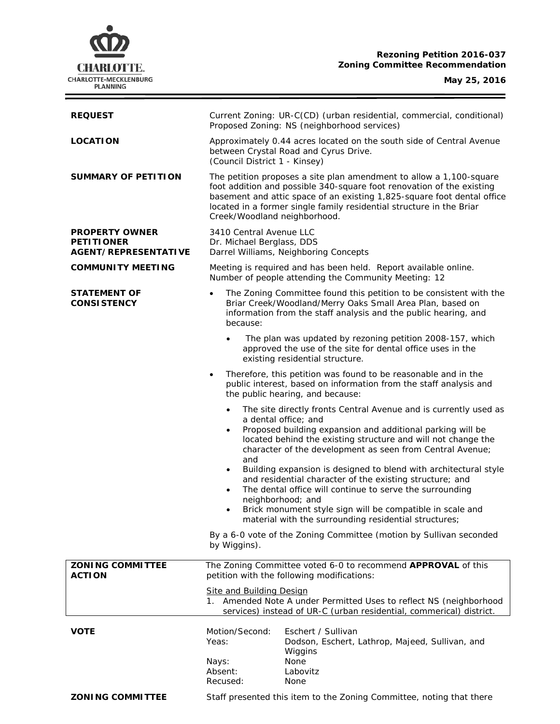

**Rezoning Petition 2016-037 Zoning Committee Recommendation**

 $\equiv$ 

| <b>REQUEST</b>                                                            | Current Zoning: UR-C(CD) (urban residential, commercial, conditional)<br>Proposed Zoning: NS (neighborhood services)                                                                                                                                                                                                                                                                                                                                                                                                                                                                                                                                              |  |  |
|---------------------------------------------------------------------------|-------------------------------------------------------------------------------------------------------------------------------------------------------------------------------------------------------------------------------------------------------------------------------------------------------------------------------------------------------------------------------------------------------------------------------------------------------------------------------------------------------------------------------------------------------------------------------------------------------------------------------------------------------------------|--|--|
| <b>LOCATION</b>                                                           | Approximately 0.44 acres located on the south side of Central Avenue<br>between Crystal Road and Cyrus Drive.<br>(Council District 1 - Kinsey)                                                                                                                                                                                                                                                                                                                                                                                                                                                                                                                    |  |  |
| <b>SUMMARY OF PETITION</b>                                                | The petition proposes a site plan amendment to allow a 1,100-square<br>foot addition and possible 340-square foot renovation of the existing<br>basement and attic space of an existing 1,825-square foot dental office<br>located in a former single family residential structure in the Briar<br>Creek/Woodland neighborhood.                                                                                                                                                                                                                                                                                                                                   |  |  |
| <b>PROPERTY OWNER</b><br><b>PETITIONER</b><br><b>AGENT/REPRESENTATIVE</b> | 3410 Central Avenue LLC<br>Dr. Michael Berglass, DDS<br>Darrel Williams, Neighboring Concepts                                                                                                                                                                                                                                                                                                                                                                                                                                                                                                                                                                     |  |  |
| <b>COMMUNITY MEETING</b>                                                  | Meeting is required and has been held. Report available online.<br>Number of people attending the Community Meeting: 12                                                                                                                                                                                                                                                                                                                                                                                                                                                                                                                                           |  |  |
| <b>STATEMENT OF</b><br><b>CONSISTENCY</b>                                 | The Zoning Committee found this petition to be consistent with the<br>$\bullet$<br>Briar Creek/Woodland/Merry Oaks Small Area Plan, based on<br>information from the staff analysis and the public hearing, and<br>because:                                                                                                                                                                                                                                                                                                                                                                                                                                       |  |  |
|                                                                           | The plan was updated by rezoning petition 2008-157, which<br>$\bullet$<br>approved the use of the site for dental office uses in the<br>existing residential structure.                                                                                                                                                                                                                                                                                                                                                                                                                                                                                           |  |  |
|                                                                           | Therefore, this petition was found to be reasonable and in the<br>$\bullet$<br>public interest, based on information from the staff analysis and<br>the public hearing, and because:                                                                                                                                                                                                                                                                                                                                                                                                                                                                              |  |  |
|                                                                           | The site directly fronts Central Avenue and is currently used as<br>a dental office; and<br>Proposed building expansion and additional parking will be<br>$\bullet$<br>located behind the existing structure and will not change the<br>character of the development as seen from Central Avenue;<br>and<br>Building expansion is designed to blend with architectural style<br>٠<br>and residential character of the existing structure; and<br>The dental office will continue to serve the surrounding<br>$\bullet$<br>neighborhood; and<br>Brick monument style sign will be compatible in scale and<br>material with the surrounding residential structures; |  |  |
|                                                                           | By a 6-0 vote of the Zoning Committee (motion by Sullivan seconded<br>by Wiggins).                                                                                                                                                                                                                                                                                                                                                                                                                                                                                                                                                                                |  |  |
| <b>ZONING COMMITTEE</b><br><b>ACTION</b>                                  | The Zoning Committee voted 6-0 to recommend APPROVAL of this<br>petition with the following modifications:<br><b>Site and Building Design</b><br>1. Amended Note A under Permitted Uses to reflect NS (neighborhood<br>services) instead of UR-C (urban residential, commerical) district.                                                                                                                                                                                                                                                                                                                                                                        |  |  |
|                                                                           |                                                                                                                                                                                                                                                                                                                                                                                                                                                                                                                                                                                                                                                                   |  |  |
| <b>VOTE</b>                                                               | Motion/Second:<br>Eschert / Sullivan<br>Yeas:<br>Dodson, Eschert, Lathrop, Majeed, Sullivan, and<br>Wiggins<br>None<br>Nays:<br>Absent:<br>Labovitz<br>Recused:<br>None                                                                                                                                                                                                                                                                                                                                                                                                                                                                                           |  |  |
| <b>ZONING COMMITTEE</b>                                                   | Staff presented this item to the Zoning Committee, noting that there                                                                                                                                                                                                                                                                                                                                                                                                                                                                                                                                                                                              |  |  |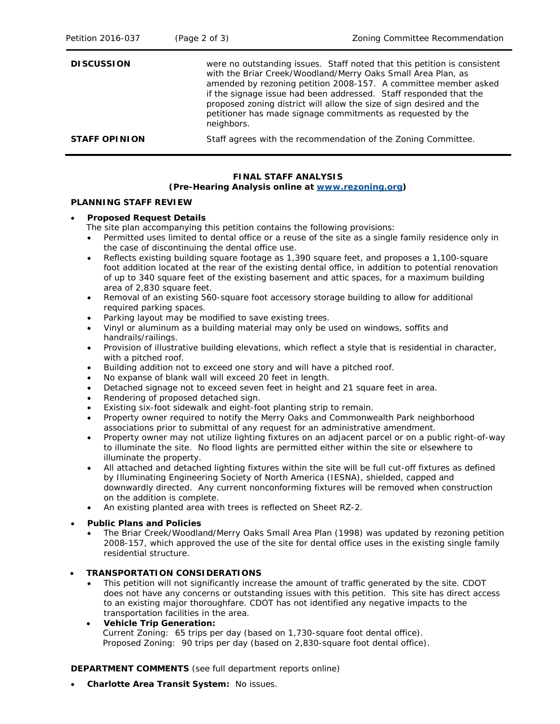| Petition 2016-037    | (Page 2 of 3)                                                 | Zoning Committee Recommendation                                                                                                                                                                                                                                                                                                                                                                                         |
|----------------------|---------------------------------------------------------------|-------------------------------------------------------------------------------------------------------------------------------------------------------------------------------------------------------------------------------------------------------------------------------------------------------------------------------------------------------------------------------------------------------------------------|
| <b>DISCUSSION</b>    | neighbors.                                                    | were no outstanding issues. Staff noted that this petition is consistent<br>with the Briar Creek/Woodland/Merry Oaks Small Area Plan, as<br>amended by rezoning petition 2008-157. A committee member asked<br>if the signage issue had been addressed. Staff responded that the<br>proposed zoning district will allow the size of sign desired and the<br>petitioner has made signage commitments as requested by the |
| <b>STAFF OPINION</b> | Staff agrees with the recommendation of the Zoning Committee. |                                                                                                                                                                                                                                                                                                                                                                                                                         |

# **FINAL STAFF ANALYSIS**

## **(Pre-Hearing Analysis online at [www.rezoning.org\)](http://www.rezoning.org/)**

### **PLANNING STAFF REVIEW**

### • **Proposed Request Details**

The site plan accompanying this petition contains the following provisions:

- Permitted uses limited to dental office or a reuse of the site as a single family residence only in the case of discontinuing the dental office use.
- Reflects existing building square footage as 1,390 square feet, and proposes a 1,100-square foot addition located at the rear of the existing dental office, in addition to potential renovation of up to 340 square feet of the existing basement and attic spaces, for a maximum building area of 2,830 square feet.
- Removal of an existing 560-square foot accessory storage building to allow for additional required parking spaces.
- Parking layout may be modified to save existing trees.
- Vinyl or aluminum as a building material may only be used on windows, soffits and handrails/railings.
- Provision of illustrative building elevations, which reflect a style that is residential in character, with a pitched roof.
- Building addition not to exceed one story and will have a pitched roof.
- No expanse of blank wall will exceed 20 feet in length.
- Detached signage not to exceed seven feet in height and 21 square feet in area.
- Rendering of proposed detached sign.
- Existing six-foot sidewalk and eight-foot planting strip to remain.
- Property owner required to notify the Merry Oaks and Commonwealth Park neighborhood associations prior to submittal of any request for an administrative amendment.
- Property owner may not utilize lighting fixtures on an adjacent parcel or on a public right-of-way to illuminate the site. No flood lights are permitted either within the site or elsewhere to illuminate the property.
- All attached and detached lighting fixtures within the site will be full cut-off fixtures as defined by Illuminating Engineering Society of North America (IESNA), shielded, capped and downwardly directed. Any current nonconforming fixtures will be removed when construction on the addition is complete.
- An existing planted area with trees is reflected on Sheet RZ-2.
- **Public Plans and Policies**
	- The *Briar Creek/Woodland/Merry Oaks Small Area Plan* (1998) was updated by rezoning petition 2008-157, which approved the use of the site for dental office uses in the existing single family residential structure.

## • **TRANSPORTATION CONSIDERATIONS**

- This petition will not significantly increase the amount of traffic generated by the site. CDOT does not have any concerns or outstanding issues with this petition. This site has direct access to an existing major thoroughfare. CDOT has not identified any negative impacts to the transportation facilities in the area.
- **Vehicle Trip Generation:** Current Zoning: 65 trips per day (based on 1,730-square foot dental office). Proposed Zoning: 90 trips per day (based on 2,830-square foot dental office).

## **DEPARTMENT COMMENTS** (see full department reports online)

• **Charlotte Area Transit System:** No issues.